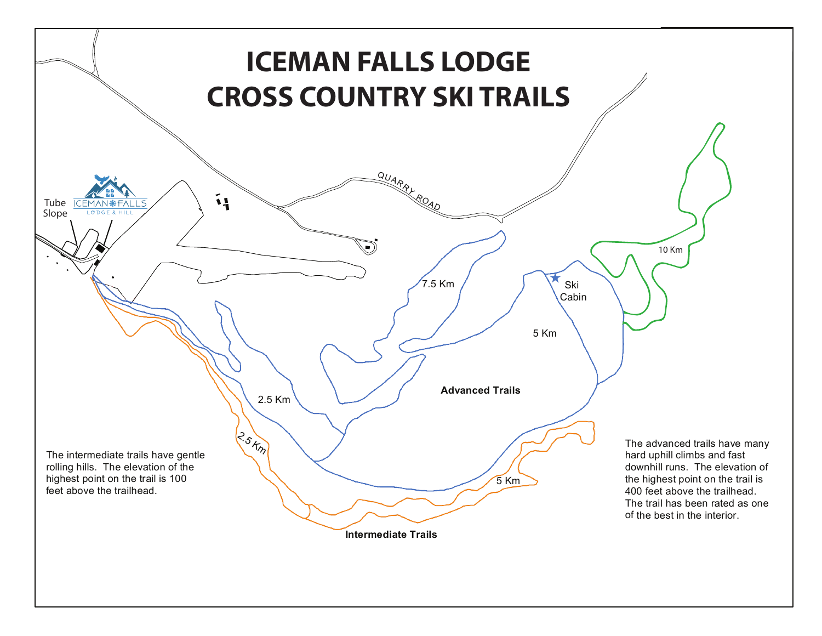